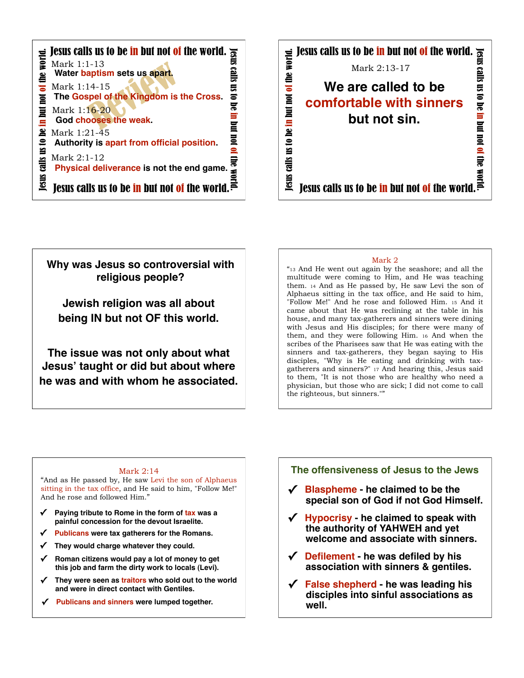



## **Why was Jesus so controversial with religious people?**

**Jewish religion was all about being IN but not OF this world.** 

**The issue was not only about what Jesus' taught or did but about where he was and with whom he associated.** 

#### Mark 2

"13 And He went out again by the seashore; and all the multitude were coming to Him, and He was teaching them. 14 And as He passed by, He saw Levi the son of Alphaeus sitting in the tax office, and He said to him, "Follow Me!" And he rose and followed Him. 15 And it came about that He was reclining at the table in his house, and many tax-gatherers and sinners were dining with Jesus and His disciples; for there were many of them, and they were following Him. 16 And when the scribes of the Pharisees saw that He was eating with the sinners and tax-gatherers, they began saying to His disciples, "Why is He eating and drinking with taxgatherers and sinners?" 17 And hearing this, Jesus said to them, "It is not those who are healthy who need a physician, but those who are sick; I did not come to call the righteous, but sinners.""

#### Mark 2:14

"And as He passed by, He saw Levi the son of Alphaeus sitting in the tax office, and He said to him, "Follow Me!" And he rose and followed Him."

- **✓ Paying tribute to Rome in the form of tax was a painful concession for the devout Israelite.**
- **Publicans were tax gatherers for the Romans.**
- They would charge whatever they could.
- **✓ Roman citizens would pay a lot of money to get this job and farm the dirty work to locals (Levi).**
- **✓ They were seen as traitors who sold out to the world and were in direct contact with Gentiles.**
- Publicans and sinners were lumped together.

#### **The offensiveness of Jesus to the Jews**

- **✓ Blaspheme he claimed to be the special son of God if not God Himself.**
- **✓ Hypocrisy he claimed to speak with the authority of YAHWEH and yet welcome and associate with sinners.**
- **✓ Defilement he was defiled by his association with sinners & gentiles.**
- **✓ False shepherd he was leading his disciples into sinful associations as well.**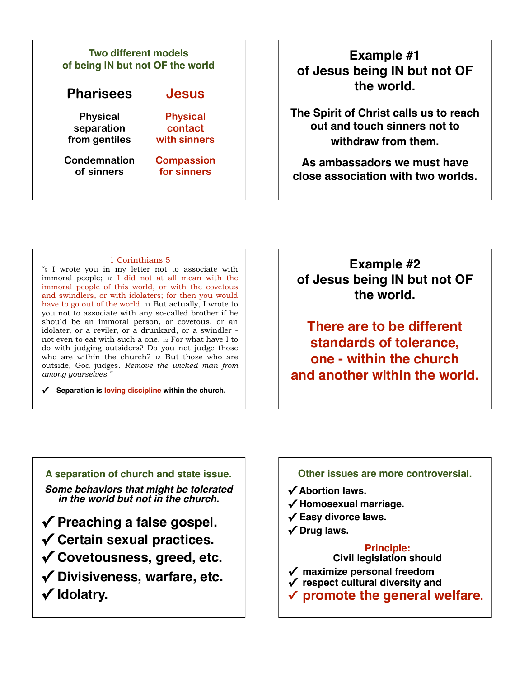#### **Pharisees Jesus Physical separation from gentiles Physical contact with sinners Condemnation of sinners Compassion for sinners Two different models of being IN but not OF the world Example #1**

# **of Jesus being IN but not OF the world.**

**The Spirit of Christ calls us to reach out and touch sinners not to withdraw from them.** 

**As ambassadors we must have close association with two worlds.**

#### 1 Corinthians 5

"9 I wrote you in my letter not to associate with immoral people; 10 I did not at all mean with the immoral people of this world, or with the covetous and swindlers, or with idolaters; for then you would have to go out of the world. 11 But actually, I wrote to you not to associate with any so-called brother if he should be an immoral person, or covetous, or an idolater, or a reviler, or a drunkard, or a swindler not even to eat with such a one. 12 For what have I to do with judging outsiders? Do you not judge those who are within the church? 13 But those who are outside, God judges. *Remove the wicked man from among yourselves."*

**✓ Separation is loving discipline within the church.**

**Example #2 of Jesus being IN but not OF the world.**

**There are to be different standards of tolerance, one - within the church and another within the world.**

**A separation of church and state issue.** *Some behaviors that might be tolerated in the world but not in the church.* **✓ Preaching a false gospel.**

**✓ Certain sexual practices.**

**✓ Covetousness, greed, etc.**

**✓ Divisiveness, warfare, etc. ✓ Idolatry.**

**✓ Divisiveness, .**

### **Other issues are more controversial.**

**✓ Abortion laws.**

- **✓ Homosexual marriage.**
- **✓ Easy divorce laws.**

**✓ Divisiveness, .**

**✓ Drug laws.**

#### **Principle: Civil legislation should**

- **✓ maximize personal freedom**
- **✓ respect cultural diversity and**
- **✓ promote the general welfare.**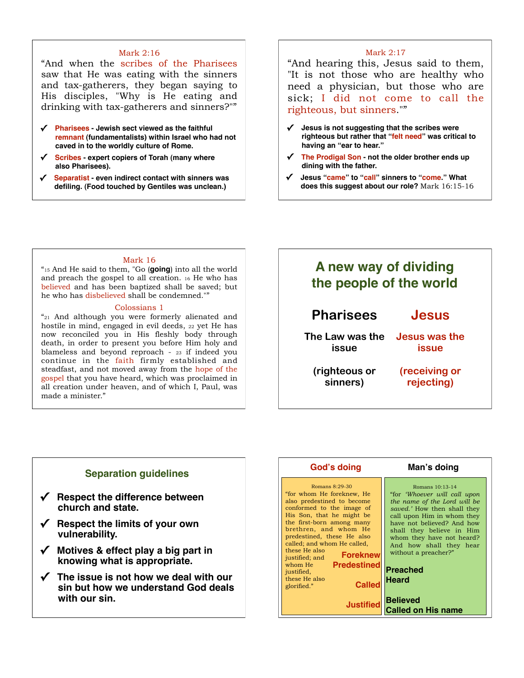#### Mark 2:16

"And when the scribes of the Pharisees saw that He was eating with the sinners and tax-gatherers, they began saying to His disciples, "Why is He eating and drinking with tax-gatherers and sinners?""

- **✓ Pharisees Jewish sect viewed as the faithful remnant (fundamentalists) within Israel who had not caved in to the worldly culture of Rome.**
- **✓ Scribes expert copiers of Torah (many where also Pharisees).**
- **✓ Separatist even indirect contact with sinners was defiling. (Food touched by Gentiles was unclean.)**

#### Mark 2:17

"And hearing this, Jesus said to them, "It is not those who are healthy who need a physician, but those who are sick; I did not come to call the righteous, but sinners.""

- **✓ Jesus is not suggesting that the scribes were righteous but rather that "felt need" was critical to having an "ear to hear."**
- The Prodigal Son not the older brother ends up **dining with the father.**
- **✓ Jesus "came" to "call" sinners to "come." What does this suggest about our role?** Mark 16:15-16

#### Mark 16

"15 And He said to them, "Go (**going**) into all the world and preach the gospel to all creation. 16 He who has believed and has been baptized shall be saved; but he who has disbelieved shall be condemned.""

#### Colossians 1

"21 And although you were formerly alienated and hostile in mind, engaged in evil deeds, 22 yet He has now reconciled you in His fleshly body through death, in order to present you before Him holy and blameless and beyond reproach - 23 if indeed you continue in the faith firmly established and steadfast, and not moved away from the hope of the gospel that you have heard, which was proclaimed in all creation under heaven, and of which I, Paul, was made a minister."

# **Pharisees Jesus The Law was the issue (righteous or sinners) Jesus was the issue (receiving or rejecting) A new way of dividing the people of the world**

#### **Separation guidelines**

- **✓ Respect the difference between church and state.**
- **✓ Respect the limits of your own vulnerability.**
- **✓ Motives & effect play a big part in knowing what is appropriate.**
- **✓ The issue is not how we deal with our sin but how we understand God deals with our sin.**

| God's doing                                                                                                                                                                                                                                                                                                                                                                                                                      | Man's doing                                                                                                                                                                                                                                                                                                                                                                       |
|----------------------------------------------------------------------------------------------------------------------------------------------------------------------------------------------------------------------------------------------------------------------------------------------------------------------------------------------------------------------------------------------------------------------------------|-----------------------------------------------------------------------------------------------------------------------------------------------------------------------------------------------------------------------------------------------------------------------------------------------------------------------------------------------------------------------------------|
| Romans 8:29-30<br>"for whom He foreknew, He<br>also predestined to become<br>conformed to the image of<br>His Son, that he might be<br>the first-born among many<br>brethren, and whom He<br>predestined, these He also<br>called; and whom He called,<br>these He also<br><b>Foreknew</b><br>justified; and<br><b>Predestined</b><br>whom He<br>justified,<br>these He also<br><b>Called</b><br>glorified."<br><b>Justified</b> | Romans 10:13-14<br>"for <i>'Whoever will call upon</i><br>the name of the Lord will be<br>saved.' How then shall they<br>call upon Him in whom they<br>have not believed? And how<br>shall they believe in Him<br>whom they have not heard?<br>And how shall they hear<br>without a preacher?"<br><b>Preached</b><br><b>Heard</b><br><b>Believed</b><br><b>Called on His name</b> |